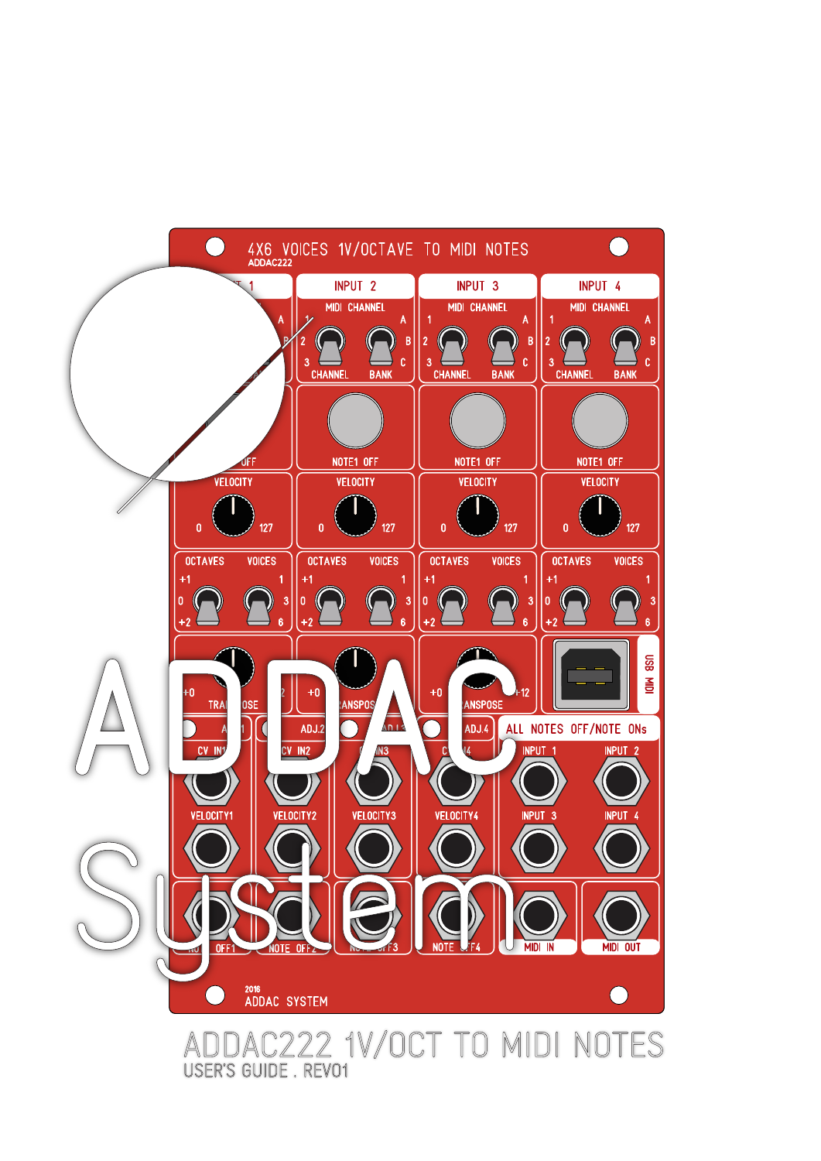

USER'S GUIDE. REVO1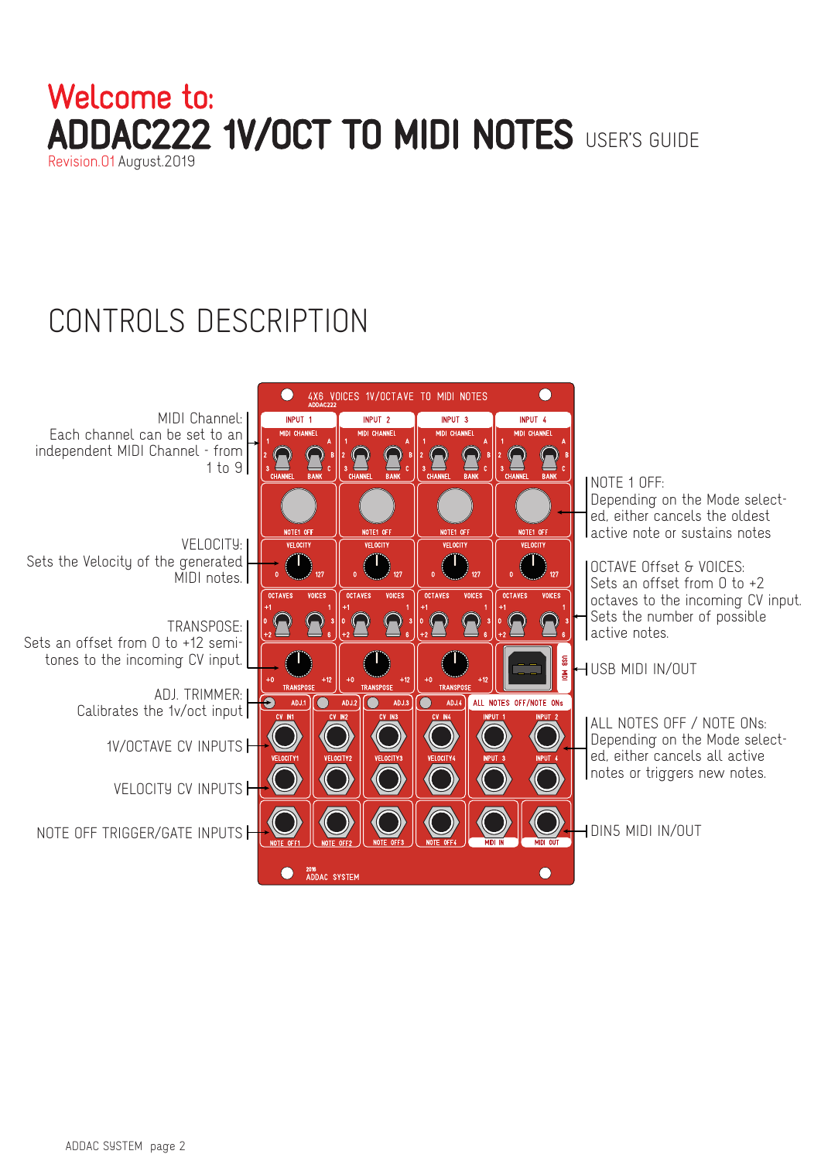#### DAC222 1V/OCT TO MIDI NOTES USER'S GUIDE Revision.01 August.2019 Welcome to:

# CONTROLS DESCRIPTION

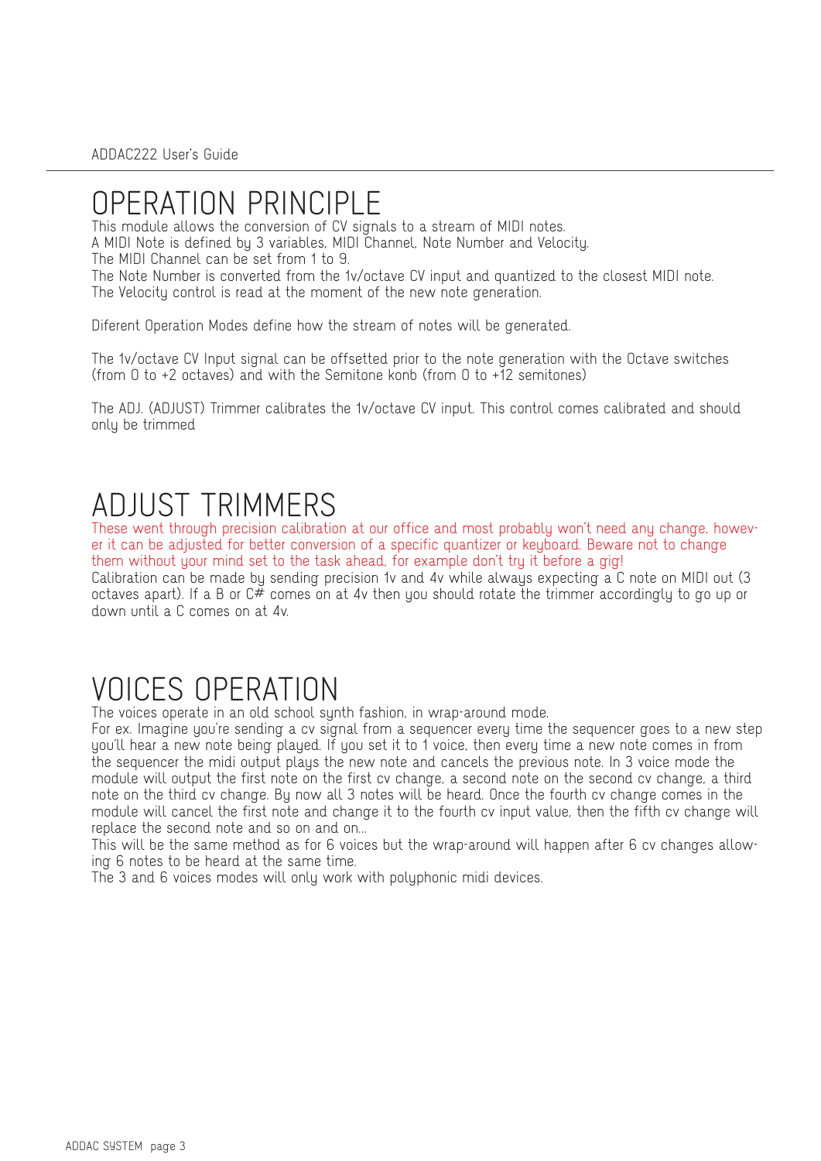## OPERATION PRINCIPLE

This module allows the conversion of CV signals to a stream of MIDI notes. A MIDI Note is defined by 3 variables, MIDI Channel, Note Number and Velocity. The MIDI Channel can be set from 1 to 9.

The Note Number is converted from the 1v/octave CV input and quantized to the closest MIDI note. The Velocity control is read at the moment of the new note generation.

Diferent Operation Modes define how the stream of notes will be generated.

The 1v/octave CV Input signal can be offsetted prior to the note generation with the Octave switches (from 0 to +2 octaves) and with the Semitone konb (from 0 to +12 semitones)

The ADJ. (ADJUST) Trimmer calibrates the 1v/octave CV input. This control comes calibrated and should only be trimmed

## ADJUST TRIMMERS

These went through precision calibration at our office and most probably won't need any change, however it can be adjusted for better conversion of a specific quantizer or keyboard. Beware not to change them without your mind set to the task ahead, for example don't try it before a gig! Calibration can be made by sending precision 1v and 4v while always expecting a C note on MIDI out (3 octaves apart). If a B or  $C^{\#}$  comes on at 4v then you should rotate the trimmer accordingly to go up or down until a C comes on at 4v.

## VOICES OPERATION

The voices operate in an old school synth fashion, in wrap-around mode.

For ex. Imagine you're sending a cv signal from a sequencer every time the sequencer goes to a new step you'll hear a new note being played. If you set it to 1 voice, then every time a new note comes in from the sequencer the midi output plays the new note and cancels the previous note. In 3 voice mode the module will output the first note on the first cv change, a second note on the second cv change, a third note on the third cv change. By now all 3 notes will be heard. Once the fourth cv change comes in the module will cancel the first note and change it to the fourth cv input value, then the fifth cv change will replace the second note and so on and on...

This will be the same method as for 6 voices but the wrap-around will happen after 6 cv changes allowing 6 notes to be heard at the same time.

The 3 and 6 voices modes will only work with polyphonic midi devices.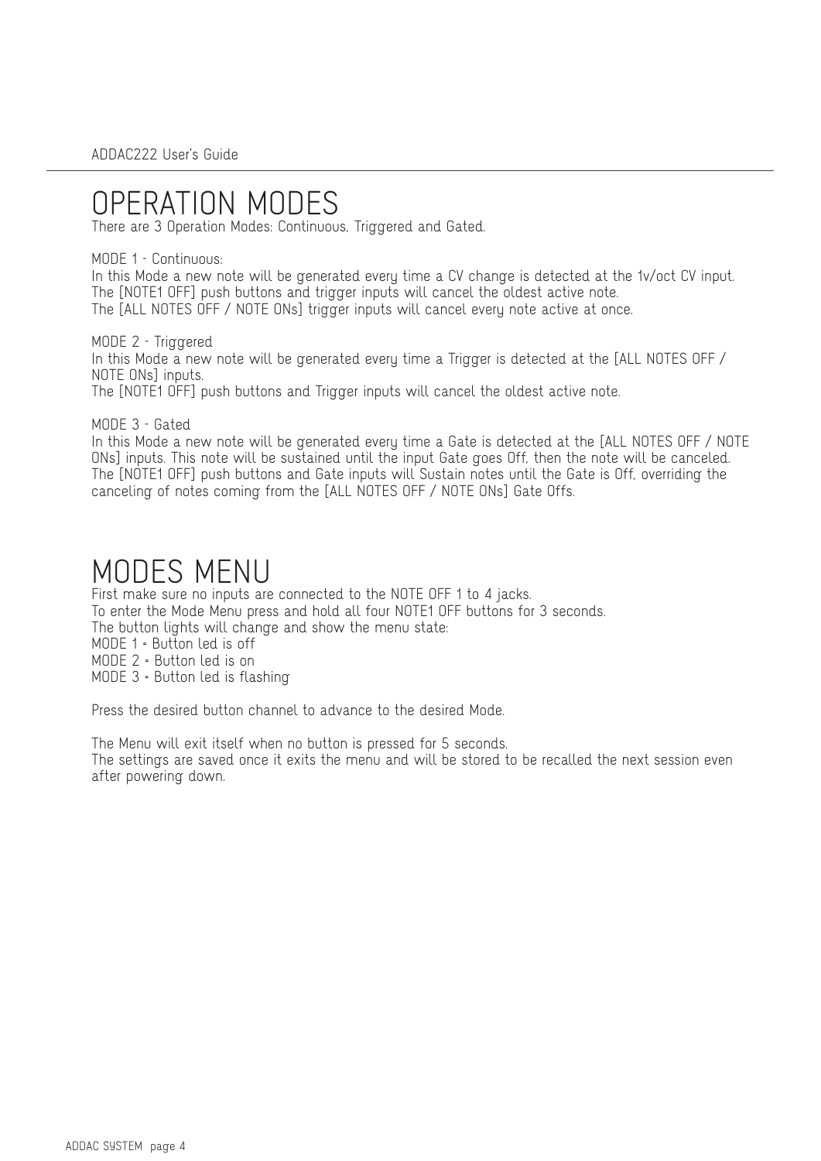## OPERATION MODES

There are 3 Operation Modes: Continuous, Triggered and Gated.

#### MODE 1 - Continuous:

In this Mode a new note will be generated every time a CV change is detected at the 1v/oct CV input. The [NOTE1 OFF] push buttons and trigger inputs will cancel the oldest active note. The [ALL NOTES OFF / NOTE ONs] trigger inputs will cancel every note active at once.

MODE 2 - Triggered In this Mode a new note will be generated every time a Trigger is detected at the [ALL NOTES OFF / NOTE ONs] inputs. The [NOTE1 OFF] push buttons and Trigger inputs will cancel the oldest active note.

MODE 3 - Gated

In this Mode a new note will be generated every time a Gate is detected at the [ALL NOTES OFF / NOTE ONs] inputs. This note will be sustained until the input Gate goes Off, then the note will be canceled. The [NOTE1 OFF] push buttons and Gate inputs will Sustain notes until the Gate is Off, overriding the canceling of notes coming from the [ALL NOTES OFF / NOTE ONs] Gate Offs.

### MODES MENU

First make sure no inputs are connected to the NOTE OFF 1 to 4 jacks. To enter the Mode Menu press and hold all four NOTE1 OFF buttons for 3 seconds. The button lights will change and show the menu state: MODE 1 = Button led is off MODE 2 = Button led is on MODE 3 = Button led is flashing

Press the desired button channel to advance to the desired Mode.

The Menu will exit itself when no button is pressed for 5 seconds.

The settings are saved once it exits the menu and will be stored to be recalled the next session even after powering down.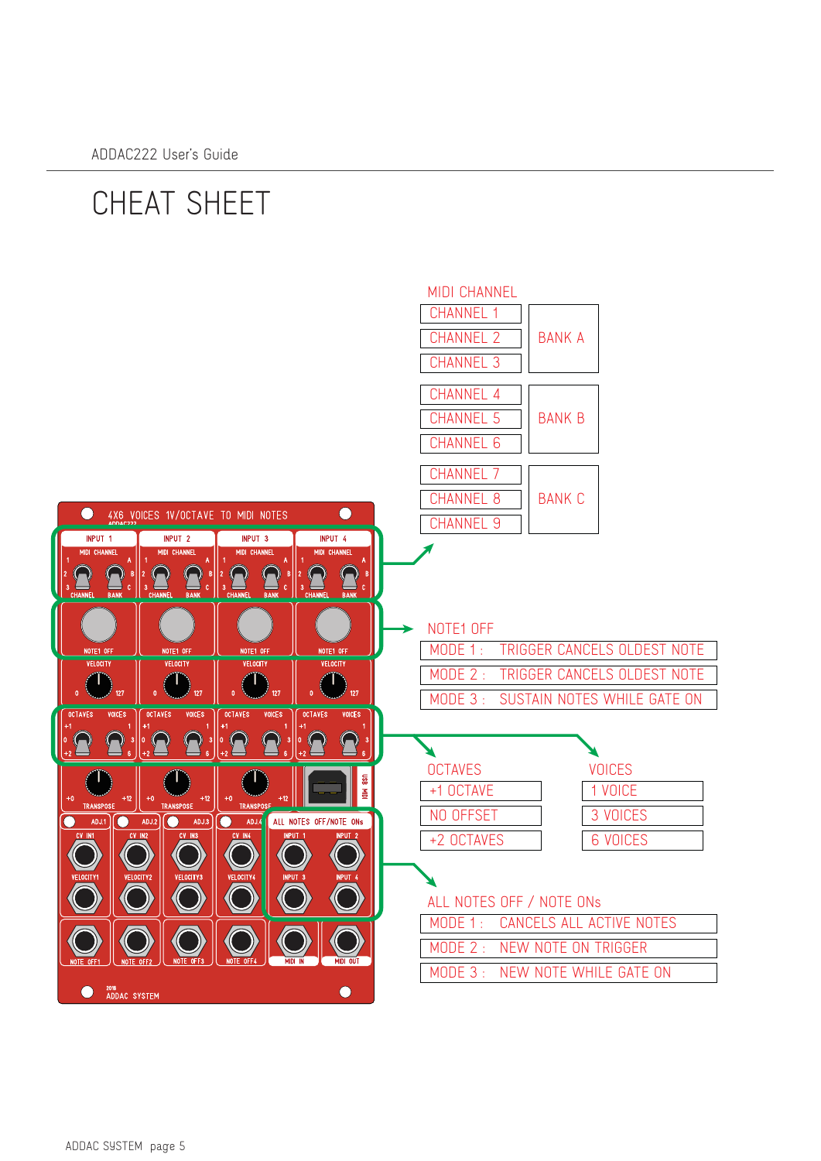